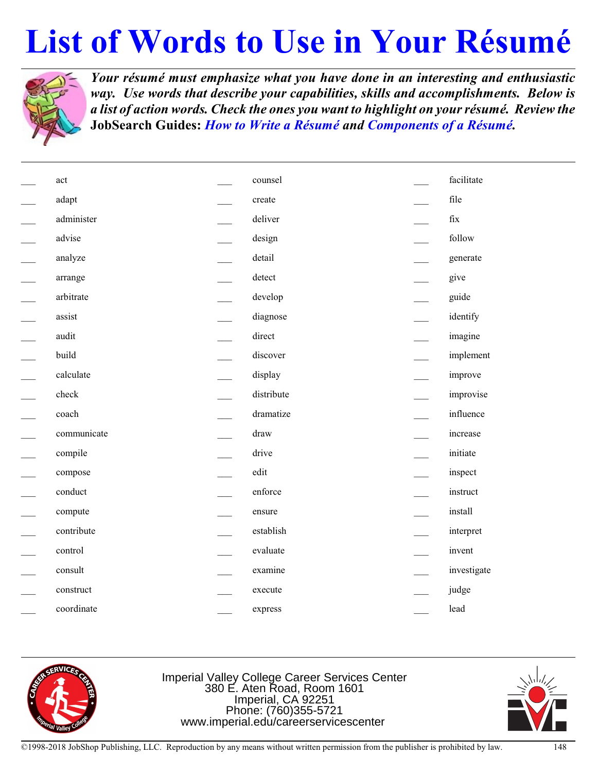## **List of Words to Use in Your Résumé**



*Your résumé must emphasize what you have done in an interesting and enthusiastic way. Use words that describe your capabilities, skills and accomplishments. Below is a list of action words. Check the ones you want to highlight on yourrésumé. Review the* **JobSearch Guides:** *How to Write a Résumé and Components of a Résumé.*

| act         | counsel      | facilitate           |
|-------------|--------------|----------------------|
| adapt       | create       | file                 |
| administer  | deliver      | $\operatorname{fix}$ |
| advise      | design       | follow               |
| analyze     | detail       | generate             |
| arrange     | detect       | give                 |
| arbitrate   | develop      | guide                |
| assist      | diagnose     | identify             |
| audit       | direct       | imagine              |
| build       | discover     | implement            |
| calculate   | display      | improve              |
| check       | distribute   | improvise            |
| coach       | dramatize    | influence            |
| communicate | ${\rm draw}$ | increase             |
| compile     | drive        | initiate             |
| compose     | edit         | inspect              |
| conduct     | enforce      | instruct             |
| compute     | ensure       | install              |
| contribute  | establish    | interpret            |
| control     | evaluate     | invent               |
| consult     | examine      | investigate          |
| construct   | execute      | judge                |
| coordinate  | express      | lead                 |



Imperial Valley College Career Services Center 380 E. Aten Road, Room 1601 Imperial, CA 92251 Phone: (760)355-5721 www.imperial.edu/careerservicescenter